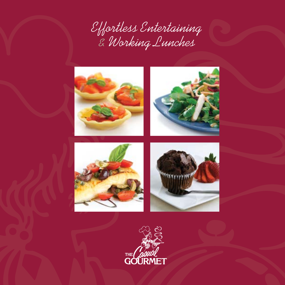Effortless Entertaining & Working Lunches







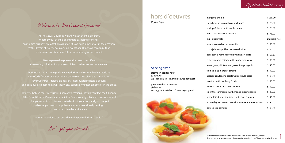## Welcome to The Casual Gourmet

At The Casual Gourmet, we know each event is different. Whether your event is an intimate gathering of friends, an in-office business breakfast or a gala for 300, we have a menu to suit the occasion. With 30 years of experience planning events of all kinds, we recognize that while some events require full-service catering, others do not.

We are pleased to present this menu that offers time-saving solutions for your next pick-up, delivery or corporate event.

Designed with the same pride in taste, design and service that has made us Cape Cod's foremost caterer, this extensive selection of unique sandwiches, flavorful entrees, delectable desserts, mouthwatering hors d'oeuvres and delicious breakfast items will satisfy any appetite, whether at home or in the office.

While we believe these menus will suit many occasions, they don't reflect the full range of the Casual Gourmet's culinary capabilities. Our knowledgeable and professional staff is happy to create a custom menu to best suit your taste and your budget, whether you want to supplement what you're already serving or need us to plan the entire event.

Want to experience our award-winning taste, design & service?

Let's get you started!

Effortless Entertaining

# hors d'oeuvres

*50 piece trays*

margarita extra large scallops & lobster, cc

| margarita shrimp                                       | \$160.00     |
|--------------------------------------------------------|--------------|
| extra large shrimp with cocktail sauce                 | \$175.00     |
| scallops & bacon with maple cream                      | \$170.00     |
| mini crab cakes with chili aioli                       | \$175.00     |
| mini lobster rolls                                     | market price |
| lobster, corn & bacon quesadilla                       | \$185.00     |
| spicy jalapeno philly-cheese steak slider              | \$170.00     |
| pork belly & mango skewers with hoisin glaze           | \$165.00     |
| crispy coconut chicken with honey-lime sauce           | \$150.00     |
| lemongrass, chicken, mango & mint spring rolls         | \$180.00     |
| truffled mac'n' cheese tartlets                        | \$150.00     |
| asparagus & fontina toasts with arugula pesto          | \$150.00     |
| wontons with raspberry & brie                          | \$150.00     |
| tomato, basil & mozzarella crostini                    | \$150.00     |
| spicy thai summer roll with mango dipping sauce        | \$180.00     |
| tenderloin & brie mini sliders with pear chutney       | \$195.00     |
| warmed goat cheese toast with rosemary, honey, walnuts | \$150.00     |
| deviled egg sampler                                    | \$150.00     |

### **Serving size?**

afternoon cocktail hour *(2-4 hours)* we suggest 8 to 14 hors d'oeuvres per guest

pre-dinner hors d'oeuvres *(1-2 hours)* we suggest 4 to 8 hors d'oeuvres per guest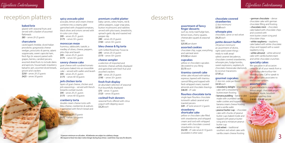# reception platters spicy avocado pâté premium crudité platter desserts

Effortless Entertaining Effortless Entertaining

#### **baked brie**

glazed with seasonal fruits and served with a basket of assorted flatbreads \$85 *– serves 20-25 guests*

#### **charcuterie**

caved aged cheddar, sliced Italian provolone, gorgonzola cheese wedges, prosciutto di parma, salami soppressata, sweet capicola ham, fresh figs (in season) paired with grapes, berries, candied pecans, assorted dried fruits to include dates and apricots, housemade strawberry balsamic jam, assorted sliced breads, grissini and crackers \$250 *– serves 20-25 guests* \$425 *– serves 50 guests*



#### **spicy avocado pâté**

avocado, lemon and cream cheese combine into a creamy pâté garnished with chopped tomatoes, black olives and onions served with tri-color corn chips \$95 *– serves 20-25 guests*  \$175 *– serves 50+ guests*

#### **moroccan meze**

hummus, tabbouleh, tzatziki, a medley of olives, cheese, peppers, pita chips and lavash \$95 *– serves 20-25 guests*  \$175 *– serves 50+ guests*

#### **savory cheese cake**

goat cheese with sundried tomato and pesto baked into an irresistible cake – served with wafers and lavash \$95 *– serves 20-25 guests*  \$175 *– serves 40-50 guests*

#### **jerk chicken torte**

layers of goat cheese, chicken and jerk seasonings – served with french bread & cocktail rounds \$95 *– serves 20-25 guests*  \$175 *– serves 40-50 guests*

#### **cranberry torta**

double cream cheese torte with bleu cheese, cranberries & walnuts – garnished with french bread and crackers \$95 *– serves 20-25 guests*

\$175 *– serves 50+ guests*

#### **premium crudité platter**

baby carrots, celery hearts, red & yellow peppers, sugar snap peas, button mushrooms and radishes served with pita toasts, breadsticks, spinach-garlic dip and roasted red pepper dip \$90 *– serves 20-25 guests*  \$165 *– serves 50+ guests*

#### **bleu cheese & fig torta**

with Grilled Rosemary Focaccia \$95 *– serves 20-25 guests*  \$175 *– serves 50+ guests*

#### **cheese sampler**

a selection of imported and domestic cheeses artfully displayed and garnished with fresh fruit and assorted crackers \$95 *– serves 20-25 guests*  \$195 *– serves 50+ guests*

#### **fresh fruit display**

an abundant selection of seasonal fruit bountifully displayed \$75 *– serves 15 guests*  \$125 *– serves 30 guests*

- $\cdot$  white raspberry raspberry cake baked with white chocolate chips and topped with a sweet raspberry icing
- white almond white almond cake with vanilla buttercream and white chocolate crunchies

#### **cocktail fruit skewers**

seasonal fruits offered with citrus yogurt with dipping sauce \$3.25 *each*

#### **assortment of fancy finger desserts**

such as, rocky road fudge bars, lemon loves, cherry squares, cheesecake squares & seasonal bars \$25.95 *per dozen*

#### **assorted cookies**

chocolate chip, sugar, everything and oatmeal raisin \$15.50 *per dozen*

#### **cupcakes**

yellow or chocolate cupcakes decorated to you liking \$3.75 *each*

#### **tiramisu cannoli cake**

white cake infused with kahlua espresso, layered with tiramisu cannoli filling and topped with fresh whipped cream, toasted almonds and chocolate shavings. \$46.95 *– 8" cake* 

#### **flourless chocolate torte**

single layer flourless chocolate tortewith salted caramel and toasted pecans \$49 *– 8" torte serves 8-12 guests*

#### **strawberry shortcake cake**

yellow or chocolate cake filled with strawberries and whipped cream and iced with whipped cream with chocolate covered strawberries on top \$52.95 *– 8" cake serves 8-10 guests (available in other sizes)*

*10 person minimum on all orders. All deliveries are subject to a delivery charge.* 2 **2** *We request at least two day's notice (longer during busy times). Lead times may vary for desserts.* 

#### **chocolate covered strawberries**

*(2 doz minimum)*  \$2.50 *each*

#### **whoopie pies**

chocolate, carrot or red velvet \$4.25 *each*

#### **petite dessert buffet**

*(30 person minimum)*  an assortment of divine, right-sized sweet things ready to walk away! salted caramel decadence, chocolate covered strawberries, whoopie pies, fudge bombs, sweet explosions, raspberry & chocolate cheesecake diamonds & coconut macaroons \$7.95 *pp* 

#### **gourmet cupcakes**

*(1 doz min. order per flavor)* \$4.50 *each*

- strawberry delight strawberry cake with a strawberry buttercream frosting
- banana pudding banana cake made with crumbled vanilla wafer cookies and topped with banana cream cheese frosting and a vanilla wafer
- peanut butter cup chocolate cake with chunks of peanut butter cups baked inside and topped with peanut butter icing and a miniature peanut butter cup
- red velvet traditional southern red velvet cake with vanilla cream cheese frosting

• german chocolate – dense chocolate cake with german chocolate filling and frosting • chocolate mint – chocolate cake baked with chocolate chips and covered with mint butter cream icing and chocolate chips

### **specialty cakes**

We specialize in all occasion cakes for all of your needs from a 6" birthday cake to a four-tier wedding cake. Call to speak to one of our sales associates to discuss our options.

#### **assorted pies**

9" pies available in many varieties lemon angel, chocolate angel, blueberry, apple, bourbon pumpkin and key lime \$18.95 - \$24.95 *per pie*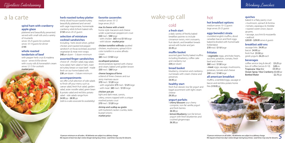#### **spiral ham with cranberry apple glaze**

plattered and beautifully presented. served with small rolls and a variety of mustards *serves 18-25 guests for cocktails serves 10-14 guests for dinner* \$195

#### **whole roasted tenderloin of beef**

with pepper herb crust & madeira sauce - *serves 6-8 for dinner* with crusty rolls & horseradish cream *serves 12-15 for cocktails* market price

### **herb roasted turkey platter**

thinly sliced house roasted turkey. beautifully plattered and served with sage mayonnaise, homemade cranberry relish & fresh baked rolls \$150 *serves 20-25 guests*

#### **selection of miniature cocktail sandwiches**

home-style macaroni and cheese under a parmesan-peppercorn crust \$50 *med /* \$90 *large*  - with chicken \$65 *med/*\$110 *large* - with lobster market price

Including: herb sliced sirloin, grilled chicken and roasted red pepper sandwich on focaccia bread, assorted vegetarian & meat mini-wraps \$48 *per dozen – 3 dozen minimum*

### **assorted finger sandwiches**

choice of: chicken salad, egg salad, tuna salad, ham salad or ham, roasted turkey breast or roast beef - made fresh on our home baked rolls \$38 *per dozen – 3 dozen minimum*

#### **accompaniments**

we offer a full selection of side salads to finish off your menu such as caesar salad, fresh fruit salad, garden salad, asian noodle salad, green bean & potato salad and red bliss potato salad - side salads range from \$4.95 *pp -* \$8.95 *pp*

*(talk to a sales associate for availability)*

### **favorite casseroles**

*medium serves 10-12 large serves 20-25*

#### mac & cheese with a twist

• lemon/blueberry non-fat lemon yogurt with fresh blueberries and crushed gingersnaps \$6.50 *pp*



*10 person minimum on all orders. All deliveries are subject to a delivery charge.* 4 **4** *We request at least two day's notice (longer during busy times). Lead times may vary for desserts.* **5 <b>4** *We request at least two da* 

chicken tortellini wilfredo sautéed

chicken, mushrooms, spinach & tricolor tortellini in a wine alfredo cream

\$85 *med /* \$150 *large*

#### escalloped potatoes

sliced potatoes layered with cheese and cream, baked until golden brown \$50 *med /* \$80 *large*

#### cheese lasagna al forno

a blend of three cheeses and our zesty marinara sauce \$70 *med /* \$120 *large* - with vegetable \$75 *med /* \$125 *large* - with meat \$85 *med /* \$135 *large*

coffee service (reg & decaf) box of coffee (serves 8-10) Tropicana 10oz O.J \$3.25 *pp* \$28 *ea*. \$3.50 *pp* Ocean Spray 10oz Cranberry \$3.50 *pp* Bottled Water  $$2.75\,pp$ 

#### chicken pot pie

light and dark meat, carrots, celery, onions topped with a unique mashed potato crust \$70 *med /* \$120 *large*

#### shrimp and scallop au gratin

with buttered cracker crumbs, leeks & pearl onions market price

# a la carte

## cold

#### **a fresh start**

a daily variety of freshly baked breakfast pastries to include cinnamon twists, mini croissants, fruit danish, and breakfast breads served with butter and jam \$5.95 *pp*

#### **muffin basket**

assorted giant freshly baked muffins including blueberry, coffee cake and cranberry nut \$34 *per dozen*

#### **bread basket**

blueberry, cinnamon and cranberrynut breads with cream cheese and preserves \$4.95 *pp*

#### **healthy start**

fresh fruit skewer, low fat yogurt and bagel assortment with light cream cheese \$9.50 *pp*

#### **yogurt parfaits**

• cherry blossom sour cherry compote, non-fat vanilla yogurt and fresh berries \$6.50 *pp*

hot

#### **hot breakfast options**

*medium serves 10-12 guests large serves 20-25 guests*

#### **eggs benedict strata**

crumbled english muffins, diced canadian bacon and fresh eggs baked & drizzled with homemade hollandaise

\$70 *med /* \$110 *large*

#### **frittatas**

• vegetable: eggs, artichoke hearts, zucchini, potatoes, tomato, fresh basil and cheese \$80 *med /* \$130 *large* • meat: eggs, sausage, mushrooms. potatoes, tomato and cheese \$90 *med /* \$140 *large*

#### **all american breakfast**

muffins, scrambled eggs, sausage or bacon and red bliss potato home fries \$19.95 *pp*

#### **quiches**

baked in a flaky pastry crust

- mushroom, spinach & fontina
- tomato, asparagus & cheddar
- roasted sweet onion, bacon gruyere,
- sausage, zucchini & mozzarella
- seafood
- \$20.95 \$29.95 *serves 6 guests*

#### **breakfast add-ons**

sausage links \$4.95 *pp* bacon \$4.95 *pp* fresh fruit \$5.50 *pp* greek yogurts \$4.25 *each*

#### **beverages**

# wake-up call

Working Lunches

*10 person minimum on all orders. All deliveries are subject to a delivery charge. We request at least two day's notice (longer during busy times). Lead times may vary for desserts.*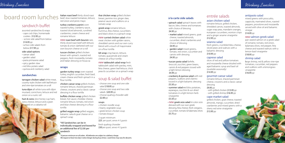## sandwich buffet

assorted sandwiches & wraps - cape cod chips, homemade cookies \$12.95 *pp*

- w/one side salad from below \$14.95 *pp*
- w/two side salads from below \$17.95 *pp*

#### side salad options

- caesar salad
- garden salad
- pasta primavera salad
- spicy garden slaw
- red bliss potato salad
- quinoa and cranberry salad

tuna dijon all white tuna with dijon mustard, cornichons, lettuce and red onion on a rustic roll

ham & swiss slice honey-cup ham, swiss cheese, lettuce and a grain nustard on a ciabatta roll



#### **sandwiches**

Italian roast beef thinly sliced roast beef, slow roasted tomatoes, lettuce, red onion and pesto mayo

tarragon chicken salad white meat, country-style chicken with leaf lettuce and vine-ripe tomatoes on a roll

turkey cranberry panini oven roasted turkey, cranberry sauce, toasted sliced almonds, sundried cranberries, cream cheese and romaine lettuce

*new* roast beef with boursin rare, thinly sliced roast beef with lettuce, tomato & onion slathered with our own boursin cheese on a roll

**new curried chicken salad white** meat chicken with golden raisins, shredded carrots and our own curry blend with a touch of mayonnaise on a flour tortilla

tuscan chicken grilled chicken breast with spinach, roasted red peppers, fresh mozzarella, tomato and Italian dressing on focaccia

blt wrap crisp bacon, lettuce, tomato, guacamole and cream cheese on a flour tortilla

#### **wraps**

garden turkey wrap oven roasted turkey, english cucumber, fresh basil, cream cheese and fresh spinach in a flour tortilla

chicken caesar wrap grilled chicken, romaine lettuce, shaved parmesan cheese, croutons and a classic caesar dressing in a flour tortilla

buffalo chicken wrap grilled chicken breast, hot sauce, cheddar cheese, romaine lettuce, tomato, red onion and blue cheese dressing in a flour tortilla grilled veggie wrap grilled veggies,

balsamic salsa & goat cheese on a spinach wrap

\*All Sandwiches can be in individually wrapped and boxed for an additional fee of \$2.00 per sandwich

*10 person minimum on all orders. All deliveries are subject to a delivery charge.* 6 *Mexa* delivery charge. All deliveries are subject to a delivery charge. The contract the cast two day's notice (longer during busy tim

#### thai chicken wrap grilled chicken breast, jasmine rice, ginger slaw, peanut sauce and scallions on a tomato wrap

greek wrap romaine lettuce, hummus, feta cheese, cucumbers and black olives in a spinach wrap

*new* tabbouleh salad wrap fresh tabbouleh salad with parsley, mint, feta cheese, green leaf lettuce, chick peas & cucumber on a spinach wrap

## soup & salad buffet

- choose one soup and one side salad \$18.95 *pp* - choose one soup and two side salads \$20.95 *pp* - choose quahog chowder add \$2.00 *pp*

#### soups

- chicken noodle soup
- hearty vegetable soup • greek lemon chicken soup • tomato bisque
- 2-quart minimum \$25 *per quart, serves 4-5 guests*

fresh quahog chowder \$30 *per quart, serves 4-5 guests*

# board room lunches

### **à la carte side salads**

- spinach salad spinach leaves with bacon, bleu cheese and tomatoes with choice of dressing \$4.95 *pp*
- market salad mixed greens, goat cheese, toasted almonds, cucumber, dried cranberries and choice of dressing \$4.95 *pp*
- garden salad mixed greens, tomato, red onion, cucumber and carrots with dressing \$4.95 *pp*
- tuscan pasta salad farfelle, broccoli, zucchini, green beans, carrots & red peppers tossed with a light lemon dressing \$4.95 *pp*
- cranberry & quinoa salad with red peppers, scallions and cilantro tossed in a light balsamic dressing \$5.50 *pp*
- summer salad red bliss potatoes, asparagus, zucchini & sun dried tomatoes in a light lemon-herb vinaigrette \$5.50 *pp*
- *new* greek orzo salad tri-color orzo dressed with our own greek dressing, feta cheese, fresh oregano, cucumber, tomato & Kalamata olives \$5.75 *pp*

## entrée salads

#### asian chicken salad

romaine lettuce, grilled chicken, shredded carrots, toasted almonds, sugar snap peas, mandarin oranges, european cucumbers, wonton crisps and a ginger sesame vinaigrette \$12.95 *pp*

#### wianno salad

fresh greens, crumbled bleu cheese, sliced pears and walnuts with a

balsamic dressing \$10.95 *pp* caprese salad

slices of red and yellow tomatoes and mozzarella cheese drizzled with aged balsamic syrup and basil oil *(available seasonally)* \$14.95 *pp* gourmet caesar salad

romaine lettuce, shaved parmesan cheese, croutons and a classic caesar

dressing \$9.95 *pp* 

- with grilled chicken \$13.95 *pp* - with grilled shrimp \$16.95 *pp*

#### cape market salad

grilled chicken, goat cheese, toasted almonds, mango, cucumber, dried cranberries and mixed greens with a sherry red wine vinaigrette \$13.95 *pp*

#### antipasto salad

mixed greens with proscuitto, cappicola, marinated olives, roasted peppers, provolone and mozzarella served with olive oil and balsamic vinegar \$14.95 *pp*

#### *new* salmon greek salad

pan seared salmon on a greek salad of romaine, tomato, red onion, kalamata olives, red pepper, feta cheese and toasted walnuts with a lemon-basil vinaigrette

#### \$18.95 *pp*

#### shrimp salad

large shrimp, red & yellow vine-ripe tomatoes, cucumber, red peppers and scallions with a lemongrass vinaigrette \$16.95 *pp*

Working Lunches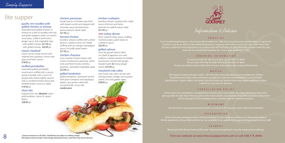#### pacific rim noodles with grilled chicken or shrimp

marinated and grilled chicken or shrimp on a bed of noodles with red and green peppers, asian-cut carrots, snow peas, scallions and hoisinginger sauce, thai vegetable slaw - with grilled chicken \$21.95 *pp* - with grilled shrimp \$24.95 *pp*

#### classic meatloaf

mom's secret recipe served with mashed new potatoes, home style gravy and fresh carrots \$18.95 *pp*

#### stuffed portabellos

marinated grilled portobello mushrooms stuffed with a savory spinach duxelle with a touch of gorgonzola cheese lightly sauced with a sundried tomato pesto and mediterranean couscous salad

#### \$19.95 *pp* short ribs

braised short ribs, Mashed Yukon gold potatoes, carrots & green beans

\$28.95 *pp*

#### chicken parmesan

tender pieces of chicken pan-fried with bread crumbs and topped with marinara sauce and parmesan penne pasta & caesar salad \$21.95 *pp*

#### harvest chicken

boneless breasts stuffed with a dried apricot, cranberry and corn bread stuffing with an orange-champagne sauce, rice pilaf, green beans \$21.95 *pp*

#### chicken chasseur

oven roasted chicken breast with crimini mushrooms, pancetta, white wine and fresh thyme, red bliss potatoes, marinated vegetable salad \$23.95 *pp*

#### grilled tenderloin

grilled tenderloin, sliced and served with plum tomatoes and asparagus spears, new potato salad with mustard & dill, crusty rolls market price

### chicken scallopini

boneless breasts sautéed with a light sauce of lemon and herbs basmati rice pilaf & caesar salad \$21.95 *pp*

> We request at least two day's notice. We will make every attempt to accommodate last minute (including same-day) orders whenever possible, but selection and availability may be limited. Special items, custom orders, and orders placed during our busiest times may require additional notice. Lead times may vary for desserts.

#### *new* turkey dinner

fresh roasted turkey, gravy, stuffing, mashed potato, green beans & cranberry sauce \$22.95 *pp*

#### grilled salmon

miso-lacquered salmon filets on a bed of japanese rice with scallions, toasted sesames & shiitake mushrooms served with gingerteriyaki butter & honey-ginger carrots \$27.95 *pp*

#### maryland crab cakes

twin lump crab cakes served with old bay potato wedges and roasted sweet corn and garden salad \$28.95 *pp*



# lite supper

Information & Policies

#### ABOUT US

From humble beginnings in a tiny Centerville storefront in 1986, the Casual Gourmet stands today as Cape Cod's foremost caterer, as well as a diversified food service company with outlets across the Cape. With more than 70 years combined event experience, our professional staff will help you plan the most suitable menu for your event, be it a continental breakfast for 10 or a gala wedding for 300.

#### ORDERING INFORMATION

To place an order for delivery or pick-up, call 508.775.4946. We are open Monday through Saturday from 8am to 4pm. To serve as contract and confirmation of your order, please sign a copy of the invoice.

#### NOTICE

#### CANCELLATION POLICY

In the event of a cancellation, we appreciate as much notice as possible. You may cancel your drop-off or pick up order no later than 48 hours prior to the event. Orders cancelled less than 48 hours prior to the event will be charged in full, including events cancelled due to inclement weather.

#### MINIMUMS

All menu items are prepared and priced for a minimum of 10 guests, unless otherwise indicated.

#### PRESENTATION

Unless otherwise arranged, orders will be presented in oven-ready containers or on disposable platters. Rental equipment, china, chafing dishes etc. are available for an additional charge, and may require service staff.

#### PAYMENT We accept VISA, MasterCard and Discover. Payment arrangements must be made prior to delivery.

## 10 person minimum on all orders. All deliveries are subject to a delivery charge.<br>
We request at least two day's notice (longer during busy times). Lead times may vary for desserts.<br> **S** We request at least two day's notic